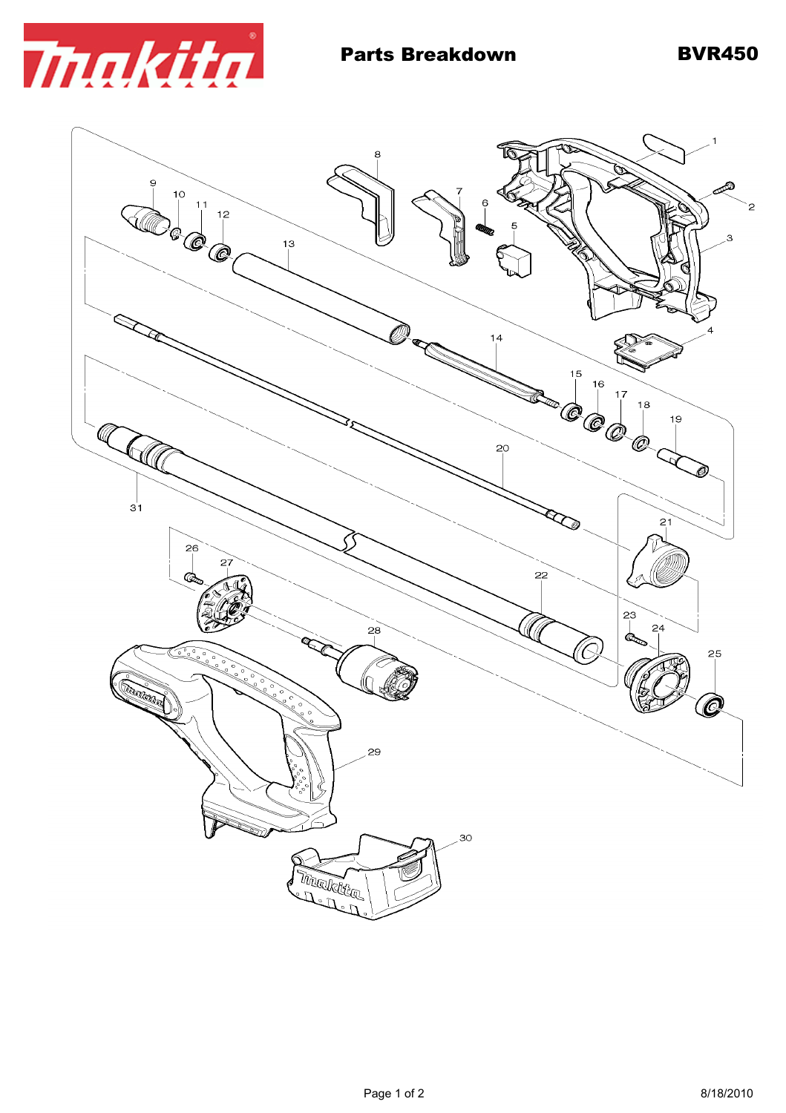

 $\bf{8}$ Ò 9  $\begin{bmatrix} 10 \\ 11 \\ 1 \end{bmatrix}$   $\begin{bmatrix} 11 \\ 12 \\ 1 \end{bmatrix}$ 3  $13$  $14$  $15$  $16$ **COOL**  $18$ 19 CA  $\mathbb{Q}$ Ô, 20  $3<sup>1</sup>$ R  $21$  $26$ 27  $\overline{22}$ Œ. 23  $24$  $28$ (C 25 ূ **Conception Concept** Ô 29 30 Thranktig and the field of the content of the content of the content of the content of the content of the content of the<br>Second the content of the content of the content of the content of the content of the content of the content o<br>